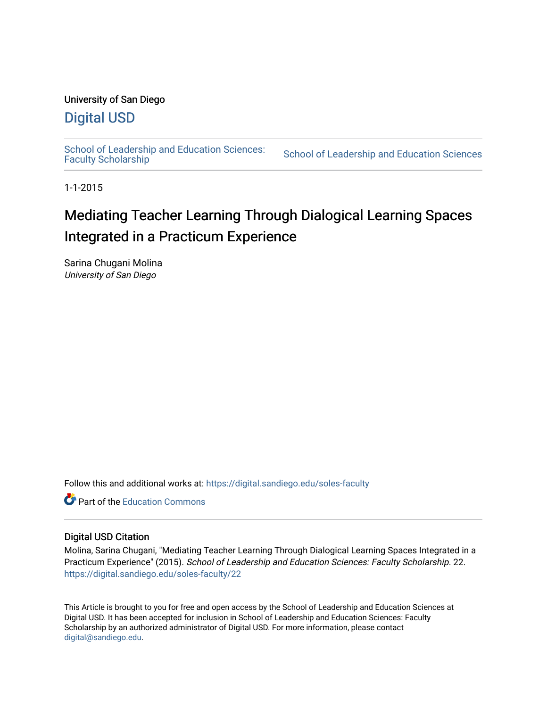# University of San Diego

# [Digital USD](https://digital.sandiego.edu/)

School of Leadership and Education Sciences:<br>Faculty Scholarship

School of Leadership and Education Sciences

1-1-2015

# Mediating Teacher Learning Through Dialogical Learning Spaces Integrated in a Practicum Experience

Sarina Chugani Molina University of San Diego

Follow this and additional works at: [https://digital.sandiego.edu/soles-faculty](https://digital.sandiego.edu/soles-faculty?utm_source=digital.sandiego.edu%2Fsoles-faculty%2F22&utm_medium=PDF&utm_campaign=PDFCoverPages) 

**C** Part of the [Education Commons](https://network.bepress.com/hgg/discipline/784?utm_source=digital.sandiego.edu%2Fsoles-faculty%2F22&utm_medium=PDF&utm_campaign=PDFCoverPages)

# Digital USD Citation

Molina, Sarina Chugani, "Mediating Teacher Learning Through Dialogical Learning Spaces Integrated in a Practicum Experience" (2015). School of Leadership and Education Sciences: Faculty Scholarship. 22. [https://digital.sandiego.edu/soles-faculty/22](https://digital.sandiego.edu/soles-faculty/22?utm_source=digital.sandiego.edu%2Fsoles-faculty%2F22&utm_medium=PDF&utm_campaign=PDFCoverPages) 

This Article is brought to you for free and open access by the School of Leadership and Education Sciences at Digital USD. It has been accepted for inclusion in School of Leadership and Education Sciences: Faculty Scholarship by an authorized administrator of Digital USD. For more information, please contact [digital@sandiego.edu](mailto:digital@sandiego.edu).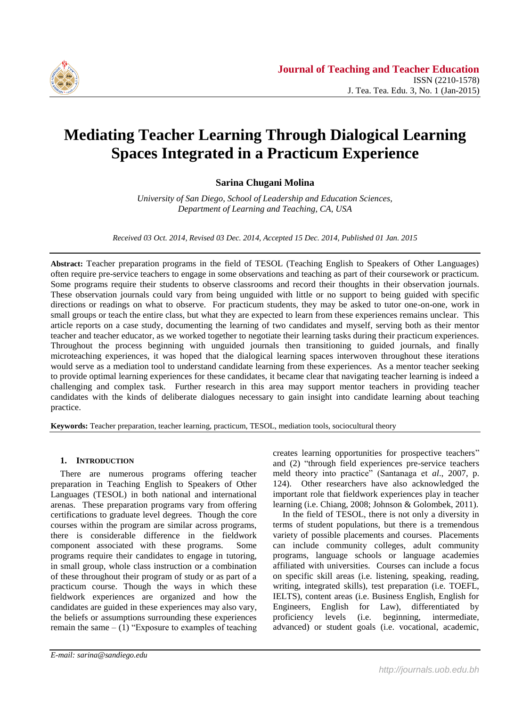

# **Mediating Teacher Learning Through Dialogical Learning Spaces Integrated in a Practicum Experience**

**Sarina Chugani Molina**

*University of San Diego, School of Leadership and Education Sciences, Department of Learning and Teaching, CA, USA*

*Received 03 Oct. 2014, Revised 03 Dec. 2014, Accepted 15 Dec. 2014, Published 01 Jan. 2015*

**Abstract:** Teacher preparation programs in the field of TESOL (Teaching English to Speakers of Other Languages) often require pre-service teachers to engage in some observations and teaching as part of their coursework or practicum. Some programs require their students to observe classrooms and record their thoughts in their observation journals. These observation journals could vary from being unguided with little or no support to being guided with specific directions or readings on what to observe. For practicum students, they may be asked to tutor one-on-one, work in small groups or teach the entire class, but what they are expected to learn from these experiences remains unclear. This article reports on a case study, documenting the learning of two candidates and myself, serving both as their mentor teacher and teacher educator, as we worked together to negotiate their learning tasks during their practicum experiences. Throughout the process beginning with unguided journals then transitioning to guided journals, and finally microteaching experiences, it was hoped that the dialogical learning spaces interwoven throughout these iterations would serve as a mediation tool to understand candidate learning from these experiences. As a mentor teacher seeking to provide optimal learning experiences for these candidates, it became clear that navigating teacher learning is indeed a challenging and complex task. Further research in this area may support mentor teachers in providing teacher candidates with the kinds of deliberate dialogues necessary to gain insight into candidate learning about teaching practice.

**Keywords:** Teacher preparation, teacher learning, practicum, TESOL, mediation tools, sociocultural theory

# **1. INTRODUCTION**

There are numerous programs offering teacher preparation in Teaching English to Speakers of Other Languages (TESOL) in both national and international arenas. These preparation programs vary from offering certifications to graduate level degrees. Though the core courses within the program are similar across programs, there is considerable difference in the fieldwork component associated with these programs. Some programs require their candidates to engage in tutoring, in small group, whole class instruction or a combination of these throughout their program of study or as part of a practicum course. Though the ways in which these fieldwork experiences are organized and how the candidates are guided in these experiences may also vary, the beliefs or assumptions surrounding these experiences remain the same  $- (1)$  "Exposure to examples of teaching creates learning opportunities for prospective teachers" and (2) "through field experiences pre-service teachers meld theory into practice" (Santanaga et *al*., 2007, p. 124). Other researchers have also acknowledged the important role that fieldwork experiences play in teacher learning (i.e. Chiang, 2008; Johnson & Golombek, 2011).

In the field of TESOL, there is not only a diversity in terms of student populations, but there is a tremendous variety of possible placements and courses. Placements can include community colleges, adult community programs, language schools or language academies affiliated with universities. Courses can include a focus on specific skill areas (i.e. listening, speaking, reading, writing, integrated skills), test preparation (i.e. TOEFL, IELTS), content areas (i.e. Business English, English for Engineers, English for Law), differentiated by proficiency levels (i.e. beginning, intermediate, advanced) or student goals (i.e. vocational, academic,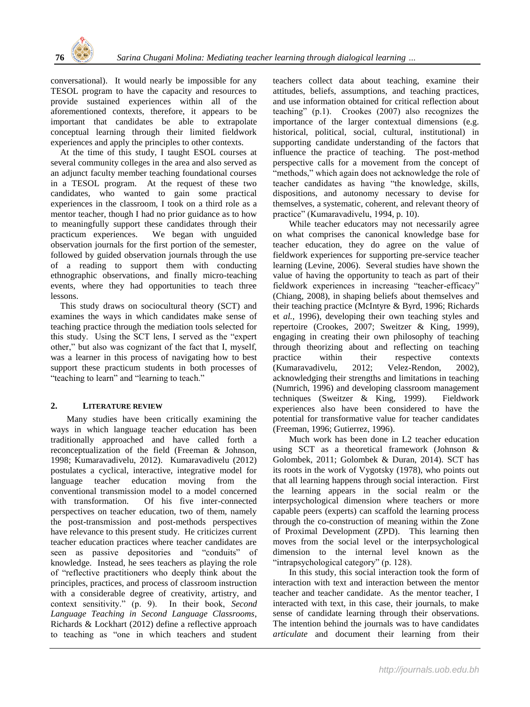conversational). It would nearly be impossible for any TESOL program to have the capacity and resources to provide sustained experiences within all of the aforementioned contexts, therefore, it appears to be important that candidates be able to extrapolate conceptual learning through their limited fieldwork experiences and apply the principles to other contexts.

At the time of this study, I taught ESOL courses at several community colleges in the area and also served as an adjunct faculty member teaching foundational courses in a TESOL program. At the request of these two candidates, who wanted to gain some practical experiences in the classroom, I took on a third role as a mentor teacher, though I had no prior guidance as to how to meaningfully support these candidates through their practicum experiences. We began with unguided observation journals for the first portion of the semester, followed by guided observation journals through the use of a reading to support them with conducting ethnographic observations, and finally micro-teaching events, where they had opportunities to teach three lessons.

This study draws on sociocultural theory (SCT) and examines the ways in which candidates make sense of teaching practice through the mediation tools selected for this study. Using the SCT lens, I served as the "expert other," but also was cognizant of the fact that I, myself, was a learner in this process of navigating how to best support these practicum students in both processes of "teaching to learn" and "learning to teach."

# **2. LITERATURE REVIEW**

Many studies have been critically examining the ways in which language teacher education has been traditionally approached and have called forth a reconceptualization of the field (Freeman & Johnson, 1998; Kumaravadivelu, 2012). Kumaravadivelu (2012) postulates a cyclical, interactive, integrative model for language teacher education moving from the conventional transmission model to a model concerned with transformation. Of his five inter-connected perspectives on teacher education, two of them, namely the post-transmission and post-methods perspectives have relevance to this present study. He criticizes current teacher education practices where teacher candidates are seen as passive depositories and "conduits" of knowledge. Instead, he sees teachers as playing the role of "reflective practitioners who deeply think about the principles, practices, and process of classroom instruction with a considerable degree of creativity, artistry, and context sensitivity." (p. 9). In their book, *Second Language Teaching in Second Language Classrooms*, Richards & Lockhart (2012) define a reflective approach to teaching as "one in which teachers and student teachers collect data about teaching, examine their attitudes, beliefs, assumptions, and teaching practices, and use information obtained for critical reflection about teaching" (p.1). Crookes (2007) also recognizes the importance of the larger contextual dimensions (e.g. historical, political, social, cultural, institutional) in supporting candidate understanding of the factors that influence the practice of teaching. The post-method perspective calls for a movement from the concept of "methods," which again does not acknowledge the role of teacher candidates as having "the knowledge, skills, dispositions, and autonomy necessary to devise for themselves, a systematic, coherent, and relevant theory of practice" (Kumaravadivelu, 1994, p. 10).

While teacher educators may not necessarily agree on what comprises the canonical knowledge base for teacher education, they do agree on the value of fieldwork experiences for supporting pre-service teacher learning (Levine, 2006). Several studies have shown the value of having the opportunity to teach as part of their fieldwork experiences in increasing "teacher-efficacy" (Chiang, 2008), in shaping beliefs about themselves and their teaching practice (McIntyre & Byrd, 1996; Richards et *al.*, 1996), developing their own teaching styles and repertoire (Crookes, 2007; Sweitzer & King, 1999), engaging in creating their own philosophy of teaching through theorizing about and reflecting on teaching practice within their respective contexts (Kumaravadivelu, 2012; Velez-Rendon, 2002), acknowledging their strengths and limitations in teaching (Numrich, 1996) and developing classroom management techniques (Sweitzer & King, 1999). Fieldwork experiences also have been considered to have the potential for transformative value for teacher candidates (Freeman, 1996; Gutierrez, 1996).

Much work has been done in L2 teacher education using SCT as a theoretical framework (Johnson & Golombek, 2011; Golombek & Duran, 2014). SCT has its roots in the work of Vygotsky (1978), who points out that all learning happens through social interaction. First the learning appears in the social realm or the interpsychological dimension where teachers or more capable peers (experts) can scaffold the learning process through the co-construction of meaning within the Zone of Proximal Development (ZPD). This learning then moves from the social level or the interpsychological dimension to the internal level known as the "intrapsychological category" (p. 128).

In this study, this social interaction took the form of interaction with text and interaction between the mentor teacher and teacher candidate. As the mentor teacher, I interacted with text, in this case, their journals, to make sense of candidate learning through their observations. The intention behind the journals was to have candidates *articulate* and document their learning from their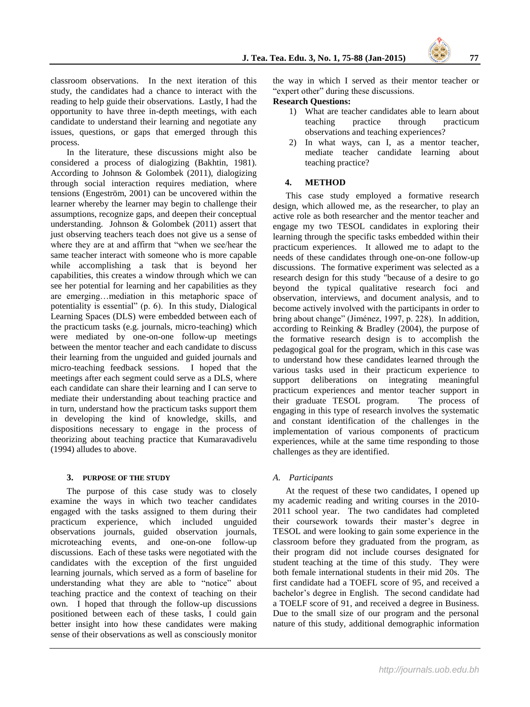classroom observations. In the next iteration of this study, the candidates had a chance to interact with the reading to help guide their observations. Lastly, I had the opportunity to have three in-depth meetings, with each candidate to understand their learning and negotiate any issues, questions, or gaps that emerged through this process.

In the literature, these discussions might also be considered a process of dialogizing (Bakhtin, 1981). According to Johnson & Golombek (2011), dialogizing through social interaction requires mediation, where tensions (Engeström, 2001) can be uncovered within the learner whereby the learner may begin to challenge their assumptions, recognize gaps, and deepen their conceptual understanding. Johnson & Golombek (2011) assert that just observing teachers teach does not give us a sense of where they are at and affirm that "when we see/hear the same teacher interact with someone who is more capable while accomplishing a task that is beyond her capabilities, this creates a window through which we can see her potential for learning and her capabilities as they are emerging…mediation in this metaphoric space of potentiality is essential" (p. 6). In this study, Dialogical Learning Spaces (DLS) were embedded between each of the practicum tasks (e.g. journals, micro-teaching) which were mediated by one-on-one follow-up meetings between the mentor teacher and each candidate to discuss their learning from the unguided and guided journals and micro-teaching feedback sessions. I hoped that the meetings after each segment could serve as a DLS, where each candidate can share their learning and I can serve to mediate their understanding about teaching practice and in turn, understand how the practicum tasks support them in developing the kind of knowledge, skills, and dispositions necessary to engage in the process of theorizing about teaching practice that Kumaravadivelu (1994) alludes to above.

#### **3. PURPOSE OF THE STUDY**

The purpose of this case study was to closely examine the ways in which two teacher candidates engaged with the tasks assigned to them during their practicum experience, which included unguided observations journals, guided observation journals, microteaching events, and one-on-one follow-up discussions. Each of these tasks were negotiated with the candidates with the exception of the first unguided learning journals, which served as a form of baseline for understanding what they are able to "notice" about teaching practice and the context of teaching on their own. I hoped that through the follow-up discussions positioned between each of these tasks, I could gain better insight into how these candidates were making sense of their observations as well as consciously monitor the way in which I served as their mentor teacher or "expert other" during these discussions.

#### **Research Questions:**

- 1) What are teacher candidates able to learn about teaching practice through practicum observations and teaching experiences?
- 2) In what ways, can I, as a mentor teacher, mediate teacher candidate learning about teaching practice?

#### **4. METHOD**

This case study employed a formative research design, which allowed me, as the researcher, to play an active role as both researcher and the mentor teacher and engage my two TESOL candidates in exploring their learning through the specific tasks embedded within their practicum experiences. It allowed me to adapt to the needs of these candidates through one-on-one follow-up discussions. The formative experiment was selected as a research design for this study "because of a desire to go beyond the typical qualitative research foci and observation, interviews, and document analysis, and to become actively involved with the participants in order to bring about change" (Jiménez, 1997, p. 228). In addition, according to Reinking & Bradley (2004), the purpose of the formative research design is to accomplish the pedagogical goal for the program, which in this case was to understand how these candidates learned through the various tasks used in their practicum experience to support deliberations on integrating meaningful practicum experiences and mentor teacher support in their graduate TESOL program. The process of engaging in this type of research involves the systematic and constant identification of the challenges in the implementation of various components of practicum experiences, while at the same time responding to those challenges as they are identified.

#### *A. Participants*

At the request of these two candidates, I opened up my academic reading and writing courses in the 2010- 2011 school year. The two candidates had completed their coursework towards their master's degree in TESOL and were looking to gain some experience in the classroom before they graduated from the program, as their program did not include courses designated for student teaching at the time of this study. They were both female international students in their mid 20s. The first candidate had a TOEFL score of 95, and received a bachelor's degree in English. The second candidate had a TOELF score of 91, and received a degree in Business. Due to the small size of our program and the personal nature of this study, additional demographic information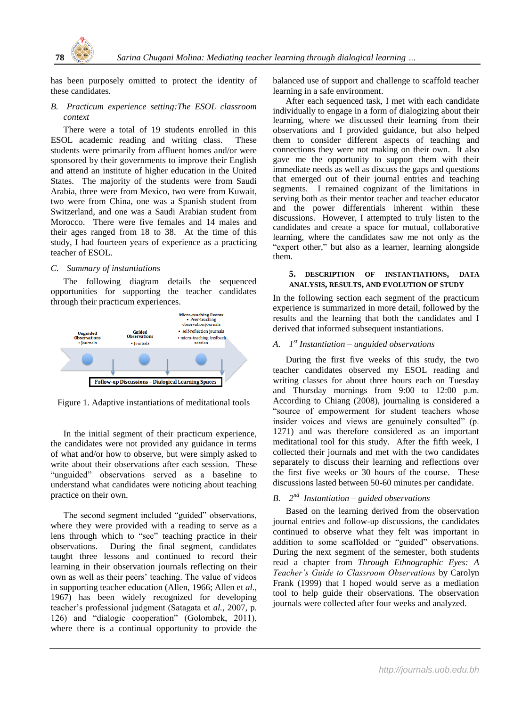

has been purposely omitted to protect the identity of these candidates.

#### *B. Practicum experience setting:The ESOL classroom context*

There were a total of 19 students enrolled in this ESOL academic reading and writing class. These students were primarily from affluent homes and/or were sponsored by their governments to improve their English and attend an institute of higher education in the United States. The majority of the students were from Saudi Arabia, three were from Mexico, two were from Kuwait, two were from China, one was a Spanish student from Switzerland, and one was a Saudi Arabian student from Morocco. There were five females and 14 males and their ages ranged from 18 to 38. At the time of this study, I had fourteen years of experience as a practicing teacher of ESOL.

#### *C. Summary of instantiations*

The following diagram details the sequenced opportunities for supporting the teacher candidates through their practicum experiences.



Figure 1. Adaptive instantiations of meditational tools

In the initial segment of their practicum experience, the candidates were not provided any guidance in terms of what and/or how to observe, but were simply asked to write about their observations after each session. These "unguided" observations served as a baseline to understand what candidates were noticing about teaching practice on their own.

The second segment included "guided" observations, where they were provided with a reading to serve as a lens through which to "see" teaching practice in their observations. During the final segment, candidates taught three lessons and continued to record their learning in their observation journals reflecting on their own as well as their peers' teaching. The value of videos in supporting teacher education (Allen, 1966; Allen et *al*., 1967) has been widely recognized for developing teacher's professional judgment (Satagata et *al.*, 2007, p. 126) and "dialogic cooperation" (Golombek, 2011), where there is a continual opportunity to provide the balanced use of support and challenge to scaffold teacher learning in a safe environment.

After each sequenced task, I met with each candidate individually to engage in a form of dialogizing about their learning, where we discussed their learning from their observations and I provided guidance, but also helped them to consider different aspects of teaching and connections they were not making on their own. It also gave me the opportunity to support them with their immediate needs as well as discuss the gaps and questions that emerged out of their journal entries and teaching segments. I remained cognizant of the limitations in serving both as their mentor teacher and teacher educator and the power differentials inherent within these discussions. However, I attempted to truly listen to the candidates and create a space for mutual, collaborative learning, where the candidates saw me not only as the "expert other," but also as a learner, learning alongside them.

#### **5. DESCRIPTION OF INSTANTIATIONS, DATA ANALYSIS, RESULTS, AND EVOLUTION OF STUDY**

In the following section each segment of the practicum experience is summarized in more detail, followed by the results and the learning that both the candidates and I derived that informed subsequent instantiations.

# *A. 1 st Instantiation – unguided observations*

During the first five weeks of this study, the two teacher candidates observed my ESOL reading and writing classes for about three hours each on Tuesday and Thursday mornings from 9:00 to 12:00 p.m. According to Chiang (2008), journaling is considered a "source of empowerment for student teachers whose insider voices and views are genuinely consulted" (p. 1271) and was therefore considered as an important meditational tool for this study. After the fifth week, I collected their journals and met with the two candidates separately to discuss their learning and reflections over the first five weeks or 30 hours of the course. These discussions lasted between 50-60 minutes per candidate.

# *B. 2 nd Instantiation – guided observations*

Based on the learning derived from the observation journal entries and follow-up discussions, the candidates continued to observe what they felt was important in addition to some scaffolded or "guided" observations. During the next segment of the semester, both students read a chapter from *Through Ethnographic Eyes: A Teacher's Guide to Classroom Observations* by Carolyn Frank (1999) that I hoped would serve as a mediation tool to help guide their observations. The observation journals were collected after four weeks and analyzed.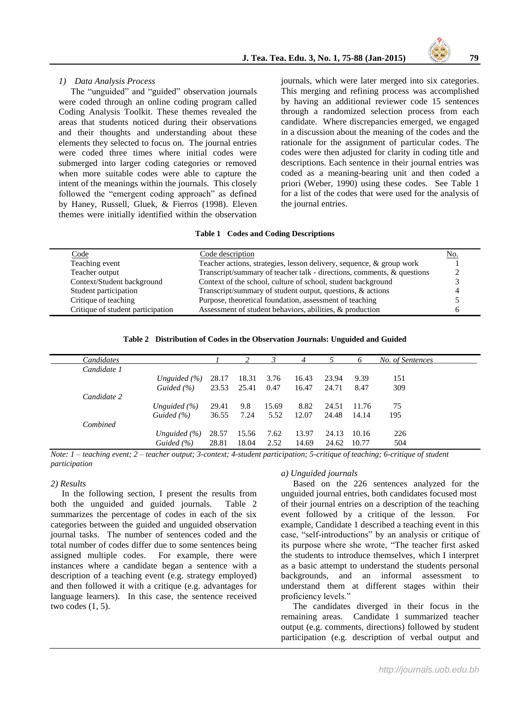

#### *1) Data Analysis Process*

The "unguided" and "guided" observation journals were coded through an online coding program called Coding Analysis Toolkit. These themes revealed the areas that students noticed during their observations and their thoughts and understanding about these elements they selected to focus on. The journal entries were coded three times where initial codes were submerged into larger coding categories or removed when more suitable codes were able to capture the intent of the meanings within the journals. This closely followed the "emergent coding approach" as defined by Haney, Russell, Gluek, & Fierros (1998). Eleven themes were initially identified within the observation journals, which were later merged into six categories. This merging and refining process was accomplished by having an additional reviewer code 15 sentences through a randomized selection process from each candidate. Where discrepancies emerged, we engaged in a discussion about the meaning of the codes and the rationale for the assignment of particular codes. The codes were then adjusted for clarity in coding title and descriptions. Each sentence in their journal entries was coded as a meaning-bearing unit and then coded a priori (Weber, 1990) using these codes. See Table 1 for a list of the codes that were used for the analysis of the journal entries.

#### **Table 1 Codes and Coding Descriptions**

| Code                              | Code description                                                       | No. |
|-----------------------------------|------------------------------------------------------------------------|-----|
| Teaching event                    | Teacher actions, strategies, lesson delivery, sequence, & group work   |     |
| Teacher output                    | Transcript/summary of teacher talk - directions, comments, & questions |     |
| Context/Student background        | Context of the school, culture of school, student background           |     |
| Student participation             | Transcript/summary of student output, questions, & actions             |     |
| Critique of teaching              | Purpose, theoretical foundation, assessment of teaching                |     |
| Critique of student participation | Assessment of student behaviors, abilities, & production               |     |

**Table 2 Distribution of Codes in the Observation Journals: Unguided and Guided**

| Candidates  |                  |       | 2     |       |       |       |       | No. of Sentences |
|-------------|------------------|-------|-------|-------|-------|-------|-------|------------------|
| Candidate 1 |                  |       |       |       |       |       |       |                  |
|             | Unguided $(\% )$ | 28.17 | 18.31 | 3.76  | 16.43 | 23.94 | 9.39  | 151              |
|             | Guided (%)       | 23.53 | 25.41 | 0.47  | 16.47 | 24.71 | 8.47  | 309              |
| Candidate 2 |                  |       |       |       |       |       |       |                  |
|             | Unguided $(\% )$ | 29.41 | 9.8   | 15.69 | 8.82  | 24.51 | 11.76 | 75               |
|             | Guided $(\% )$   | 36.55 | 7.24  | 5.52  | 12.07 | 24.48 | 14.14 | 195              |
| Combined    |                  |       |       |       |       |       |       |                  |
|             | Unguided $(\% )$ | 28.57 | 15.56 | 7.62  | 13.97 | 24.13 | 10.16 | 226              |
|             | Guided $(\% )$   | 28.81 | 18.04 | 2.52  | 14.69 | 24.62 | 10.77 | 504              |

*Note: 1 – teaching event; 2 – teacher output; 3-context; 4-student participation; 5-critique of teaching; 6-critique of student participation*

#### *2) Results*

 In the following section, I present the results from both the unguided and guided journals. Table 2 summarizes the percentage of codes in each of the six categories between the guided and unguided observation journal tasks. The number of sentences coded and the total number of codes differ due to some sentences being assigned multiple codes. For example, there were instances where a candidate began a sentence with a description of a teaching event (e.g. strategy employed) and then followed it with a critique (e.g. advantages for language learners). In this case, the sentence received two codes (1, 5).

#### *a) Unguided journals*

Based on the 226 sentences analyzed for the unguided journal entries, both candidates focused most of their journal entries on a description of the teaching event followed by a critique of the lesson. For example, Candidate 1 described a teaching event in this case, "self-introductions" by an analysis or critique of its purpose where she wrote, "The teacher first asked the students to introduce themselves, which I interpret as a basic attempt to understand the students personal backgrounds, and an informal assessment to understand them at different stages within their proficiency levels."

The candidates diverged in their focus in the remaining areas. Candidate 1 summarized teacher output (e.g. comments, directions) followed by student participation (e.g. description of verbal output and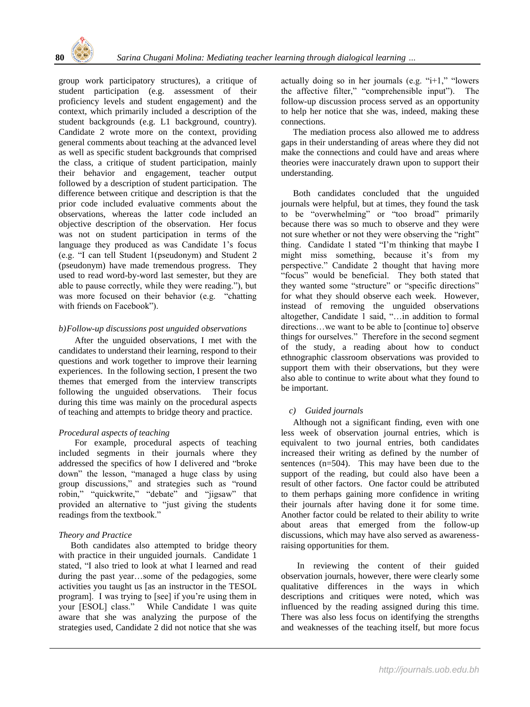

group work participatory structures), a critique of student participation (e.g. assessment of their proficiency levels and student engagement) and the context, which primarily included a description of the student backgrounds (e.g. L1 background, country). Candidate 2 wrote more on the context, providing general comments about teaching at the advanced level as well as specific student backgrounds that comprised the class, a critique of student participation, mainly their behavior and engagement, teacher output followed by a description of student participation. The difference between critique and description is that the prior code included evaluative comments about the observations, whereas the latter code included an objective description of the observation. Her focus was not on student participation in terms of the language they produced as was Candidate 1's focus (e.g. "I can tell Student 1(pseudonym) and Student 2 (pseudonym) have made tremendous progress. They used to read word-by-word last semester, but they are able to pause correctly, while they were reading."), but was more focused on their behavior (e.g. "chatting with friends on Facebook").

# *b)Follow-up discussions post unguided observations*

After the unguided observations, I met with the candidates to understand their learning, respond to their questions and work together to improve their learning experiences. In the following section, I present the two themes that emerged from the interview transcripts following the unguided observations. Their focus during this time was mainly on the procedural aspects of teaching and attempts to bridge theory and practice.

# *Procedural aspects of teaching*

For example, procedural aspects of teaching included segments in their journals where they addressed the specifics of how I delivered and "broke down" the lesson, "managed a huge class by using group discussions," and strategies such as "round robin," "quickwrite," "debate" and "jigsaw" that provided an alternative to "just giving the students readings from the textbook."

# *Theory and Practice*

Both candidates also attempted to bridge theory with practice in their unguided journals. Candidate 1 stated, "I also tried to look at what I learned and read during the past year…some of the pedagogies, some activities you taught us [as an instructor in the TESOL program]. I was trying to [see] if you're using them in your [ESOL] class." While Candidate 1 was quite aware that she was analyzing the purpose of the strategies used, Candidate 2 did not notice that she was actually doing so in her journals (e.g. " $i+1$ ," "lowers" the affective filter," "comprehensible input"). The follow-up discussion process served as an opportunity to help her notice that she was, indeed, making these connections.

The mediation process also allowed me to address gaps in their understanding of areas where they did not make the connections and could have and areas where theories were inaccurately drawn upon to support their understanding.

Both candidates concluded that the unguided journals were helpful, but at times, they found the task to be "overwhelming" or "too broad" primarily because there was so much to observe and they were not sure whether or not they were observing the "right" thing. Candidate 1 stated "I'm thinking that maybe I might miss something, because it's from my perspective." Candidate 2 thought that having more "focus" would be beneficial. They both stated that they wanted some "structure" or "specific directions" for what they should observe each week. However, instead of removing the unguided observations altogether, Candidate 1 said, "…in addition to formal directions…we want to be able to [continue to] observe things for ourselves." Therefore in the second segment of the study, a reading about how to conduct ethnographic classroom observations was provided to support them with their observations, but they were also able to continue to write about what they found to be important.

# *c) Guided journals*

Although not a significant finding, even with one less week of observation journal entries, which is equivalent to two journal entries, both candidates increased their writing as defined by the number of sentences (n=504). This may have been due to the support of the reading, but could also have been a result of other factors. One factor could be attributed to them perhaps gaining more confidence in writing their journals after having done it for some time. Another factor could be related to their ability to write about areas that emerged from the follow-up discussions, which may have also served as awarenessraising opportunities for them.

In reviewing the content of their guided observation journals, however, there were clearly some qualitative differences in the ways in which descriptions and critiques were noted, which was influenced by the reading assigned during this time. There was also less focus on identifying the strengths and weaknesses of the teaching itself, but more focus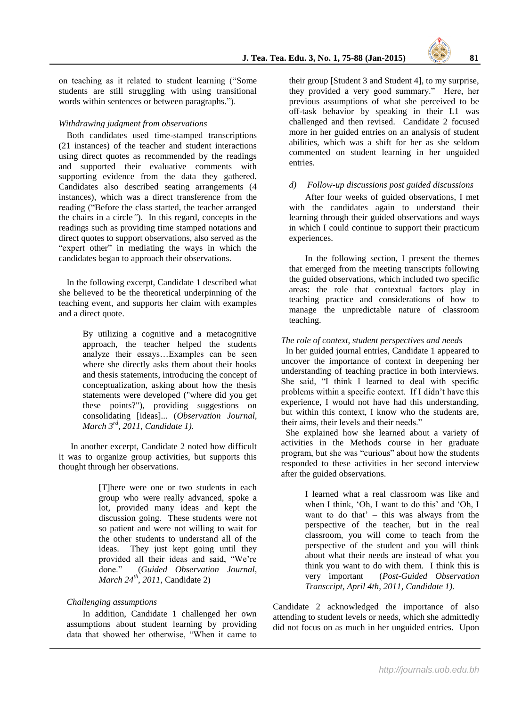on teaching as it related to student learning ("Some students are still struggling with using transitional words within sentences or between paragraphs.").

#### *Withdrawing judgment from observations*

Both candidates used time-stamped transcriptions (21 instances) of the teacher and student interactions using direct quotes as recommended by the readings and supported their evaluative comments with supporting evidence from the data they gathered. Candidates also described seating arrangements (4 instances), which was a direct transference from the reading ("Before the class started, the teacher arranged the chairs in a circle*"*). In this regard, concepts in the readings such as providing time stamped notations and direct quotes to support observations, also served as the "expert other" in mediating the ways in which the candidates began to approach their observations.

In the following excerpt, Candidate 1 described what she believed to be the theoretical underpinning of the teaching event, and supports her claim with examples and a direct quote.

> By utilizing a cognitive and a metacognitive approach, the teacher helped the students analyze their essays…Examples can be seen where she directly asks them about their hooks and thesis statements, introducing the concept of conceptualization, asking about how the thesis statements were developed ("where did you get these points?"), providing suggestions on consolidating [ideas]... (*Observation Journal, March 3rd, 2011, Candidate 1).*

In another excerpt, Candidate 2 noted how difficult it was to organize group activities, but supports this thought through her observations.

> [T]here were one or two students in each group who were really advanced, spoke a lot, provided many ideas and kept the discussion going. These students were not so patient and were not willing to wait for the other students to understand all of the ideas. They just kept going until they provided all their ideas and said, "We're done." (*Guided Observation Journal*, *March 24th, 2011,* Candidate 2)

# *Challenging assumptions*

In addition, Candidate 1 challenged her own assumptions about student learning by providing data that showed her otherwise, "When it came to

their group [Student 3 and Student 4], to my surprise, they provided a very good summary." Here, her previous assumptions of what she perceived to be off-task behavior by speaking in their L1 was challenged and then revised. Candidate 2 focused more in her guided entries on an analysis of student abilities, which was a shift for her as she seldom commented on student learning in her unguided entries.

#### *d) Follow-up discussions post guided discussions*

After four weeks of guided observations, I met with the candidates again to understand their learning through their guided observations and ways in which I could continue to support their practicum experiences.

In the following section, I present the themes that emerged from the meeting transcripts following the guided observations, which included two specific areas: the role that contextual factors play in teaching practice and considerations of how to manage the unpredictable nature of classroom teaching.

#### *The role of context, student perspectives and needs*

In her guided journal entries, Candidate 1 appeared to uncover the importance of context in deepening her understanding of teaching practice in both interviews. She said, "I think I learned to deal with specific problems within a specific context. If I didn't have this experience, I would not have had this understanding, but within this context, I know who the students are, their aims, their levels and their needs."

She explained how she learned about a variety of activities in the Methods course in her graduate program, but she was "curious" about how the students responded to these activities in her second interview after the guided observations.

> I learned what a real classroom was like and when I think, 'Oh, I want to do this' and 'Oh, I want to do that' – this was always from the perspective of the teacher, but in the real classroom, you will come to teach from the perspective of the student and you will think about what their needs are instead of what you think you want to do with them. I think this is very important (*Post-Guided Observation Transcript, April 4th, 2011, Candidate 1).*

Candidate 2 acknowledged the importance of also attending to student levels or needs, which she admittedly did not focus on as much in her unguided entries. Upon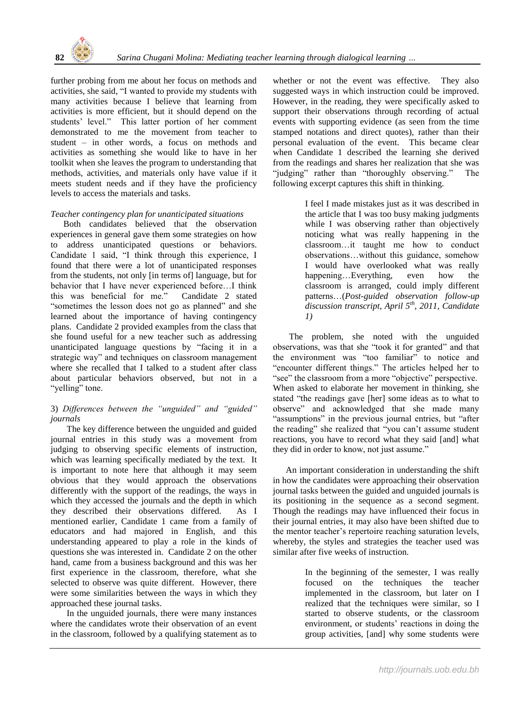

further probing from me about her focus on methods and activities, she said, "I wanted to provide my students with many activities because I believe that learning from activities is more efficient, but it should depend on the students' level." This latter portion of her comment demonstrated to me the movement from teacher to student – in other words, a focus on methods and activities as something she would like to have in her toolkit when she leaves the program to understanding that methods, activities, and materials only have value if it meets student needs and if they have the proficiency levels to access the materials and tasks.

# *Teacher contingency plan for unanticipated situations*

Both candidates believed that the observation experiences in general gave them some strategies on how to address unanticipated questions or behaviors. Candidate 1 said, "I think through this experience, I found that there were a lot of unanticipated responses from the students, not only [in terms of] language, but for behavior that I have never experienced before…I think this was beneficial for me." Candidate 2 stated "sometimes the lesson does not go as planned" and she learned about the importance of having contingency plans. Candidate 2 provided examples from the class that she found useful for a new teacher such as addressing unanticipated language questions by "facing it in a strategic way" and techniques on classroom management where she recalled that I talked to a student after class about particular behaviors observed, but not in a "yelling" tone.

# 3) *Differences between the "unguided" and "guided" journals*

The key difference between the unguided and guided journal entries in this study was a movement from judging to observing specific elements of instruction, which was learning specifically mediated by the text. It is important to note here that although it may seem obvious that they would approach the observations differently with the support of the readings, the ways in which they accessed the journals and the depth in which they described their observations differed. As I mentioned earlier, Candidate 1 came from a family of educators and had majored in English, and this understanding appeared to play a role in the kinds of questions she was interested in. Candidate 2 on the other hand, came from a business background and this was her first experience in the classroom, therefore, what she selected to observe was quite different. However, there were some similarities between the ways in which they approached these journal tasks.

In the unguided journals, there were many instances where the candidates wrote their observation of an event in the classroom, followed by a qualifying statement as to

whether or not the event was effective. They also suggested ways in which instruction could be improved. However, in the reading, they were specifically asked to support their observations through recording of actual events with supporting evidence (as seen from the time stamped notations and direct quotes), rather than their personal evaluation of the event. This became clear when Candidate 1 described the learning she derived from the readings and shares her realization that she was "judging" rather than "thoroughly observing." The following excerpt captures this shift in thinking.

> I feel I made mistakes just as it was described in the article that I was too busy making judgments while I was observing rather than objectively noticing what was really happening in the classroom…it taught me how to conduct observations…without this guidance, somehow I would have overlooked what was really happening…Everything, even how the classroom is arranged, could imply different patterns…(*Post-guided observation follow-up discussion transcript, April 5th, 2011, Candidate 1)*

The problem, she noted with the unguided observations, was that she "took it for granted" and that the environment was "too familiar" to notice and "encounter different things." The articles helped her to "see" the classroom from a more "objective" perspective. When asked to elaborate her movement in thinking, she stated "the readings gave [her] some ideas as to what to observe" and acknowledged that she made many "assumptions" in the previous journal entries, but "after the reading" she realized that "you can't assume student reactions, you have to record what they said [and] what they did in order to know, not just assume."

An important consideration in understanding the shift in how the candidates were approaching their observation journal tasks between the guided and unguided journals is its positioning in the sequence as a second segment. Though the readings may have influenced their focus in their journal entries, it may also have been shifted due to the mentor teacher's repertoire reaching saturation levels, whereby, the styles and strategies the teacher used was similar after five weeks of instruction.

> In the beginning of the semester, I was really focused on the techniques the teacher implemented in the classroom, but later on I realized that the techniques were similar, so I started to observe students, or the classroom environment, or students' reactions in doing the group activities, [and] why some students were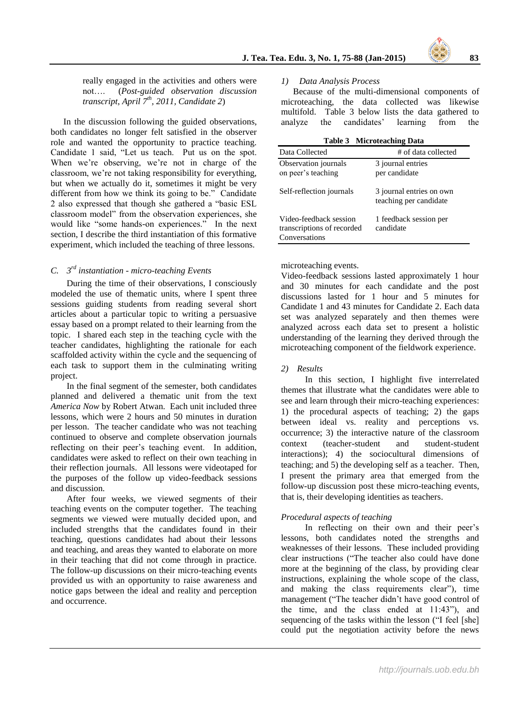really engaged in the activities and others were not…. (*Post-guided observation discussion transcript*, *April 7th, 2011, Candidate 2*)

In the discussion following the guided observations, both candidates no longer felt satisfied in the observer role and wanted the opportunity to practice teaching. Candidate 1 said, "Let us teach. Put us on the spot. When we're observing, we're not in charge of the classroom, we're not taking responsibility for everything, but when we actually do it, sometimes it might be very different from how we think its going to be." Candidate 2 also expressed that though she gathered a "basic ESL classroom model" from the observation experiences, she would like "some hands-on experiences." In the next section, I describe the third instantiation of this formative experiment, which included the teaching of three lessons.

# *C. 3 rd instantiation - micro-teaching Events*

During the time of their observations, I consciously modeled the use of thematic units, where I spent three sessions guiding students from reading several short articles about a particular topic to writing a persuasive essay based on a prompt related to their learning from the topic. I shared each step in the teaching cycle with the teacher candidates, highlighting the rationale for each scaffolded activity within the cycle and the sequencing of each task to support them in the culminating writing project.

In the final segment of the semester, both candidates planned and delivered a thematic unit from the text *America Now* by Robert Atwan. Each unit included three lessons, which were 2 hours and 50 minutes in duration per lesson. The teacher candidate who was not teaching continued to observe and complete observation journals reflecting on their peer's teaching event. In addition, candidates were asked to reflect on their own teaching in their reflection journals. All lessons were videotaped for the purposes of the follow up video-feedback sessions and discussion.

After four weeks, we viewed segments of their teaching events on the computer together. The teaching segments we viewed were mutually decided upon, and included strengths that the candidates found in their teaching, questions candidates had about their lessons and teaching, and areas they wanted to elaborate on more in their teaching that did not come through in practice. The follow-up discussions on their micro-teaching events provided us with an opportunity to raise awareness and notice gaps between the ideal and reality and perception and occurrence.

#### *1) Data Analysis Process*

Because of the multi-dimensional components of microteaching, the data collected was likewise multifold. Table 3 below lists the data gathered to analyze the candidates' learning from the

| <b>Table 3 Microteaching Data</b> |  |  |  |
|-----------------------------------|--|--|--|
|-----------------------------------|--|--|--|

| Data Collected                                                        | # of data collected                                |
|-----------------------------------------------------------------------|----------------------------------------------------|
| Observation journals<br>on peer's teaching                            | 3 journal entries<br>per candidate                 |
| Self-reflection journals                                              | 3 journal entries on own<br>teaching per candidate |
| Video-feedback session<br>transcriptions of recorded<br>Conversations | 1 feedback session per<br>candidate                |

#### microteaching events.

Video-feedback sessions lasted approximately 1 hour and 30 minutes for each candidate and the post discussions lasted for 1 hour and 5 minutes for Candidate 1 and 43 minutes for Candidate 2. Each data set was analyzed separately and then themes were analyzed across each data set to present a holistic understanding of the learning they derived through the microteaching component of the fieldwork experience.

# *2) Results*

In this section, I highlight five interrelated themes that illustrate what the candidates were able to see and learn through their micro-teaching experiences: 1) the procedural aspects of teaching; 2) the gaps between ideal vs. reality and perceptions vs. occurrence; 3) the interactive nature of the classroom context (teacher-student and student-student interactions); 4) the sociocultural dimensions of teaching; and 5) the developing self as a teacher. Then, I present the primary area that emerged from the follow-up discussion post these micro-teaching events, that is, their developing identities as teachers.

# *Procedural aspects of teaching*

In reflecting on their own and their peer's lessons, both candidates noted the strengths and weaknesses of their lessons. These included providing clear instructions ("The teacher also could have done more at the beginning of the class, by providing clear instructions, explaining the whole scope of the class, and making the class requirements clear"), time management ("The teacher didn't have good control of the time, and the class ended at 11:43"), and sequencing of the tasks within the lesson ("I feel [she] could put the negotiation activity before the news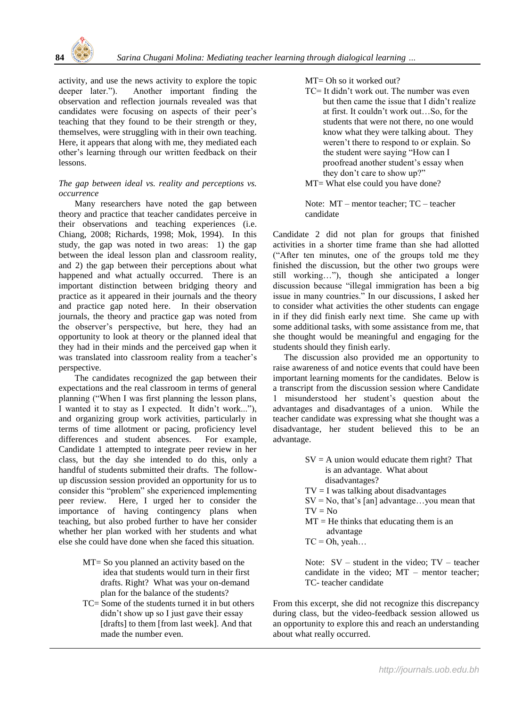

activity, and use the news activity to explore the topic deeper later."). Another important finding the observation and reflection journals revealed was that candidates were focusing on aspects of their peer's teaching that they found to be their strength or they, themselves, were struggling with in their own teaching. Here, it appears that along with me, they mediated each other's learning through our written feedback on their lessons.

#### *The gap between ideal vs. reality and perceptions vs. occurrence*

Many researchers have noted the gap between theory and practice that teacher candidates perceive in their observations and teaching experiences (i.e. Chiang, 2008; Richards, 1998; Mok, 1994). In this study, the gap was noted in two areas: 1) the gap between the ideal lesson plan and classroom reality, and 2) the gap between their perceptions about what happened and what actually occurred. There is an important distinction between bridging theory and practice as it appeared in their journals and the theory and practice gap noted here. In their observation journals, the theory and practice gap was noted from the observer's perspective, but here, they had an opportunity to look at theory or the planned ideal that they had in their minds and the perceived gap when it was translated into classroom reality from a teacher's perspective.

The candidates recognized the gap between their expectations and the real classroom in terms of general planning ("When I was first planning the lesson plans, I wanted it to stay as I expected. It didn't work..."), and organizing group work activities, particularly in terms of time allotment or pacing, proficiency level differences and student absences. For example, Candidate 1 attempted to integrate peer review in her class, but the day she intended to do this, only a handful of students submitted their drafts. The followup discussion session provided an opportunity for us to consider this "problem" she experienced implementing peer review. Here, I urged her to consider the importance of having contingency plans when teaching, but also probed further to have her consider whether her plan worked with her students and what else she could have done when she faced this situation.

- MT= So you planned an activity based on the idea that students would turn in their first drafts. Right? What was your on-demand plan for the balance of the students?
- TC= Some of the students turned it in but others didn't show up so I just gave their essay [drafts] to them [from last week]. And that made the number even.

MT= Oh so it worked out?

TC= It didn't work out. The number was even but then came the issue that I didn't realize at first. It couldn't work out…So, for the students that were not there, no one would know what they were talking about. They weren't there to respond to or explain. So the student were saying "How can I proofread another student's essay when they don't care to show up?" MT= What else could you have done?

Note: MT – mentor teacher; TC – teacher candidate

Candidate 2 did not plan for groups that finished activities in a shorter time frame than she had allotted ("After ten minutes, one of the groups told me they finished the discussion, but the other two groups were still working…"), though she anticipated a longer discussion because "illegal immigration has been a big issue in many countries." In our discussions, I asked her to consider what activities the other students can engage in if they did finish early next time. She came up with some additional tasks, with some assistance from me, that she thought would be meaningful and engaging for the students should they finish early.

 The discussion also provided me an opportunity to raise awareness of and notice events that could have been important learning moments for the candidates. Below is a transcript from the discussion session where Candidate 1 misunderstood her student's question about the advantages and disadvantages of a union. While the teacher candidate was expressing what she thought was a disadvantage, her student believed this to be an advantage.

- $SV = A$  union would educate them right? That is an advantage. What about disadvantages?
- $TV = I$  was talking about disadvantages
- $SV = No$ , that's [an] advantage...you mean that  $TV = No$
- $MT = He$  thinks that educating them is an
	- advantage
- $TC = Oh$ , yeah...

Note: SV – student in the video; TV – teacher candidate in the video; MT – mentor teacher; TC- teacher candidate

From this excerpt, she did not recognize this discrepancy during class, but the video-feedback session allowed us an opportunity to explore this and reach an understanding about what really occurred.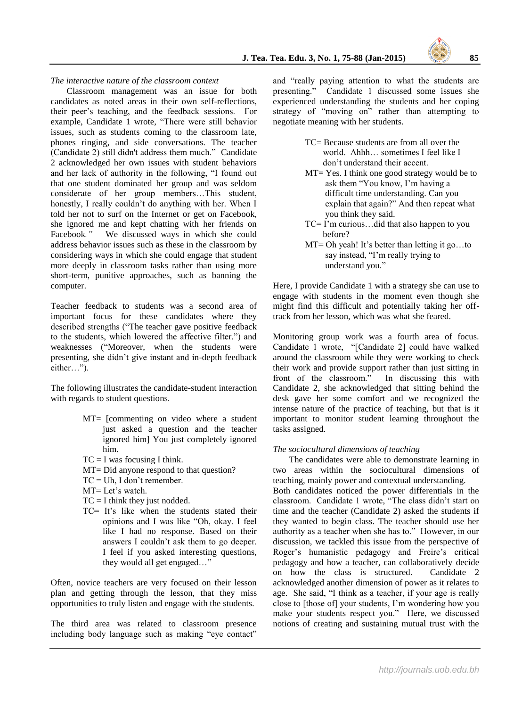*The interactive nature of the classroom context*

Classroom management was an issue for both candidates as noted areas in their own self-reflections, their peer's teaching, and the feedback sessions. For example, Candidate 1 wrote, "There were still behavior issues, such as students coming to the classroom late, phones ringing, and side conversations. The teacher (Candidate 2) still didn't address them much." Candidate 2 acknowledged her own issues with student behaviors and her lack of authority in the following, "I found out that one student dominated her group and was seldom considerate of her group members…This student, honestly, I really couldn't do anything with her. When I told her not to surf on the Internet or get on Facebook, she ignored me and kept chatting with her friends on Facebook." We discussed ways in which she could We discussed ways in which she could address behavior issues such as these in the classroom by considering ways in which she could engage that student more deeply in classroom tasks rather than using more short-term, punitive approaches, such as banning the computer.

Teacher feedback to students was a second area of important focus for these candidates where they described strengths ("The teacher gave positive feedback to the students, which lowered the affective filter.") and weaknesses ("Moreover, when the students were presenting, she didn't give instant and in-depth feedback either…").

The following illustrates the candidate-student interaction with regards to student questions.

- MT= [commenting on video where a student just asked a question and the teacher ignored him] You just completely ignored him.
- $TC = I$  was focusing I think.
- MT= Did anyone respond to that question?
- TC = Uh, I don't remember.
- MT= Let's watch.
- $TC = I$  think they just nodded.
- TC= It's like when the students stated their opinions and I was like "Oh, okay. I feel like I had no response. Based on their answers I couldn't ask them to go deeper. I feel if you asked interesting questions, they would all get engaged…"

Often, novice teachers are very focused on their lesson plan and getting through the lesson, that they miss opportunities to truly listen and engage with the students.

The third area was related to classroom presence including body language such as making "eye contact"

and "really paying attention to what the students are presenting." Candidate 1 discussed some issues she experienced understanding the students and her coping strategy of "moving on" rather than attempting to negotiate meaning with her students.

- TC= Because students are from all over the world. Ahhh… sometimes I feel like I don't understand their accent.
- MT= Yes. I think one good strategy would be to ask them "You know, I'm having a difficult time understanding. Can you explain that again?" And then repeat what you think they said.
- TC= I'm curious…did that also happen to you before?
- MT= Oh yeah! It's better than letting it go...to say instead, "I'm really trying to understand you."

Here, I provide Candidate 1 with a strategy she can use to engage with students in the moment even though she might find this difficult and potentially taking her offtrack from her lesson, which was what she feared.

Monitoring group work was a fourth area of focus. Candidate 1 wrote, "[Candidate 2] could have walked around the classroom while they were working to check their work and provide support rather than just sitting in front of the classroom." In discussing this with Candidate 2, she acknowledged that sitting behind the desk gave her some comfort and we recognized the intense nature of the practice of teaching, but that is it important to monitor student learning throughout the tasks assigned.

#### *The sociocultural dimensions of teaching*

The candidates were able to demonstrate learning in two areas within the sociocultural dimensions of teaching, mainly power and contextual understanding.

Both candidates noticed the power differentials in the classroom. Candidate 1 wrote, "The class didn't start on time and the teacher (Candidate 2) asked the students if they wanted to begin class. The teacher should use her authority as a teacher when she has to." However, in our discussion, we tackled this issue from the perspective of Roger's humanistic pedagogy and Freire's critical pedagogy and how a teacher, can collaboratively decide<br>on how the class is structured. Candidate 2 on how the class is structured. acknowledged another dimension of power as it relates to age. She said, "I think as a teacher, if your age is really close to [those of] your students, I'm wondering how you make your students respect you." Here, we discussed notions of creating and sustaining mutual trust with the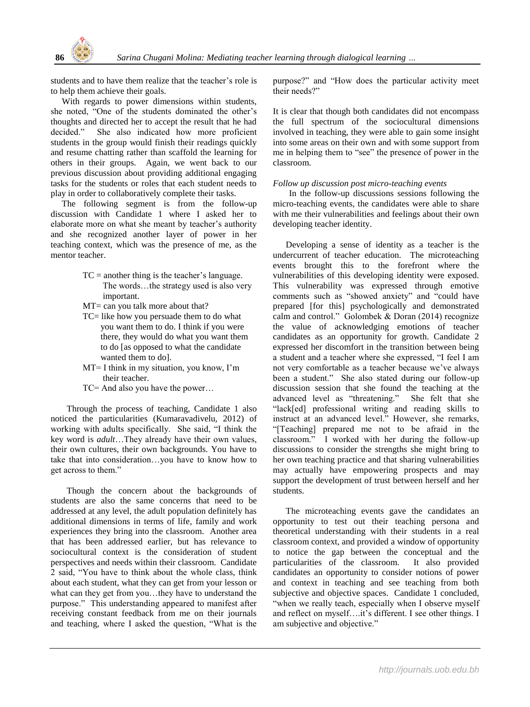students and to have them realize that the teacher's role is to help them achieve their goals.

 With regards to power dimensions within students, she noted, "One of the students dominated the other's thoughts and directed her to accept the result that he had decided." She also indicated how more proficient students in the group would finish their readings quickly and resume chatting rather than scaffold the learning for others in their groups. Again, we went back to our previous discussion about providing additional engaging tasks for the students or roles that each student needs to play in order to collaboratively complete their tasks.

 The following segment is from the follow-up discussion with Candidate 1 where I asked her to elaborate more on what she meant by teacher's authority and she recognized another layer of power in her teaching context, which was the presence of me, as the mentor teacher.

- $TC = another thing is the teacher's language.$  The words…the strategy used is also very important.
- MT= can you talk more about that?
- TC= like how you persuade them to do what you want them to do. I think if you were there, they would do what you want them to do [as opposed to what the candidate wanted them to do].
- MT= I think in my situation, you know, I'm their teacher.
- TC= And also you have the power…

Through the process of teaching, Candidate 1 also noticed the particularities (Kumaravadivelu, 2012) of working with adults specifically. She said, "I think the key word is *adult*…They already have their own values, their own cultures, their own backgrounds. You have to take that into consideration…you have to know how to get across to them."

Though the concern about the backgrounds of students are also the same concerns that need to be addressed at any level, the adult population definitely has additional dimensions in terms of life, family and work experiences they bring into the classroom. Another area that has been addressed earlier, but has relevance to sociocultural context is the consideration of student perspectives and needs within their classroom. Candidate 2 said, "You have to think about the whole class, think about each student, what they can get from your lesson or what can they get from you…they have to understand the purpose." This understanding appeared to manifest after receiving constant feedback from me on their journals and teaching, where I asked the question, "What is the purpose?" and "How does the particular activity meet their needs?"

It is clear that though both candidates did not encompass the full spectrum of the sociocultural dimensions involved in teaching, they were able to gain some insight into some areas on their own and with some support from me in helping them to "see" the presence of power in the classroom.

#### *Follow up discussion post micro-teaching events*

In the follow-up discussions sessions following the micro-teaching events, the candidates were able to share with me their vulnerabilities and feelings about their own developing teacher identity.

Developing a sense of identity as a teacher is the undercurrent of teacher education. The microteaching events brought this to the forefront where the vulnerabilities of this developing identity were exposed. This vulnerability was expressed through emotive comments such as "showed anxiety" and "could have prepared [for this] psychologically and demonstrated calm and control." Golombek & Doran (2014) recognize the value of acknowledging emotions of teacher candidates as an opportunity for growth. Candidate 2 expressed her discomfort in the transition between being a student and a teacher where she expressed, "I feel I am not very comfortable as a teacher because we've always been a student." She also stated during our follow-up discussion session that she found the teaching at the advanced level as "threatening." She felt that she "lack[ed] professional writing and reading skills to instruct at an advanced level." However, she remarks, "[Teaching] prepared me not to be afraid in the classroom." I worked with her during the follow-up discussions to consider the strengths she might bring to her own teaching practice and that sharing vulnerabilities may actually have empowering prospects and may support the development of trust between herself and her students.

The microteaching events gave the candidates an opportunity to test out their teaching persona and theoretical understanding with their students in a real classroom context, and provided a window of opportunity to notice the gap between the conceptual and the particularities of the classroom. It also provided candidates an opportunity to consider notions of power and context in teaching and see teaching from both subjective and objective spaces. Candidate 1 concluded, "when we really teach, especially when I observe myself and reflect on myself….it's different. I see other things. I am subjective and objective."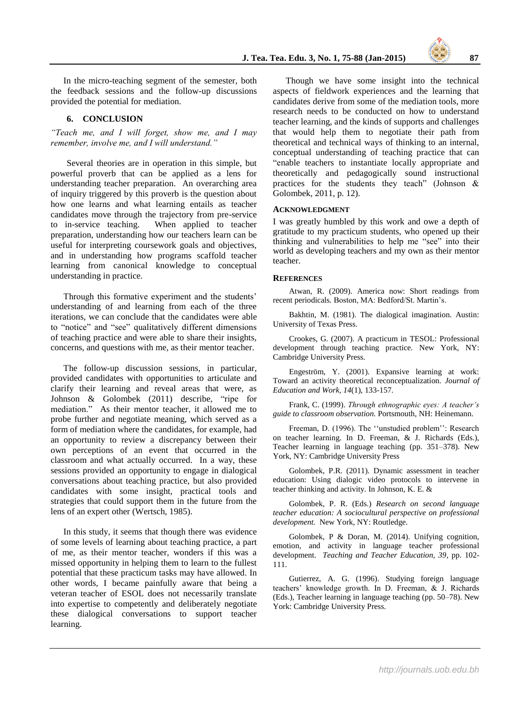In the micro-teaching segment of the semester, both the feedback sessions and the follow-up discussions provided the potential for mediation.

#### **6. CONCLUSION**

*"Teach me, and I will forget, show me, and I may remember, involve me, and I will understand."*

Several theories are in operation in this simple, but powerful proverb that can be applied as a lens for understanding teacher preparation. An overarching area of inquiry triggered by this proverb is the question about how one learns and what learning entails as teacher candidates move through the trajectory from pre-service to in-service teaching. When applied to teacher preparation, understanding how our teachers learn can be useful for interpreting coursework goals and objectives, and in understanding how programs scaffold teacher learning from canonical knowledge to conceptual understanding in practice.

Through this formative experiment and the students' understanding of and learning from each of the three iterations, we can conclude that the candidates were able to "notice" and "see" qualitatively different dimensions of teaching practice and were able to share their insights, concerns, and questions with me, as their mentor teacher.

The follow-up discussion sessions, in particular, provided candidates with opportunities to articulate and clarify their learning and reveal areas that were, as Johnson & Golombek (2011) describe, "ripe for mediation." As their mentor teacher, it allowed me to probe further and negotiate meaning, which served as a form of mediation where the candidates, for example, had an opportunity to review a discrepancy between their own perceptions of an event that occurred in the classroom and what actually occurred. In a way, these sessions provided an opportunity to engage in dialogical conversations about teaching practice, but also provided candidates with some insight, practical tools and strategies that could support them in the future from the lens of an expert other (Wertsch, 1985).

In this study, it seems that though there was evidence of some levels of learning about teaching practice, a part of me, as their mentor teacher, wonders if this was a missed opportunity in helping them to learn to the fullest potential that these practicum tasks may have allowed. In other words, I became painfully aware that being a veteran teacher of ESOL does not necessarily translate into expertise to competently and deliberately negotiate these dialogical conversations to support teacher learning.

Though we have some insight into the technical aspects of fieldwork experiences and the learning that candidates derive from some of the mediation tools, more research needs to be conducted on how to understand teacher learning, and the kinds of supports and challenges that would help them to negotiate their path from theoretical and technical ways of thinking to an internal, conceptual understanding of teaching practice that can "enable teachers to instantiate locally appropriate and theoretically and pedagogically sound instructional practices for the students they teach" (Johnson & Golombek, 2011, p. 12).

#### **ACKNOWLEDGMENT**

I was greatly humbled by this work and owe a depth of gratitude to my practicum students, who opened up their thinking and vulnerabilities to help me "see" into their world as developing teachers and my own as their mentor teacher.

#### **REFERENCES**

Atwan, R. (2009). America now: Short readings from recent periodicals*.* Boston, MA: Bedford/St. Martin's.

Bakhtin, M. (1981). The dialogical imagination. Austin: University of Texas Press.

Crookes, G. (2007). A practicum in TESOL: Professional development through teaching practice. New York, NY: Cambridge University Press.

Engeström, Y. (2001). Expansive learning at work: Toward an activity theoretical reconceptualization. *Journal of Education and Work, 14*(1), 133-157.

Frank, C. (1999). *Through ethnographic eyes: A teacher's guide to classroom observation.* Portsmouth, NH: Heinemann.

Freeman, D. (1996). The ''unstudied problem'': Research on teacher learning. In D. Freeman, & J. Richards (Eds.), Teacher learning in language teaching (pp. 351–378). New York, NY: Cambridge University Press

Golombek, P.R. (2011). Dynamic assessment in teacher education: Using dialogic video protocols to intervene in teacher thinking and activity. In Johnson, K. E. &

Golombek, P. R. (Eds.) *Research on second language teacher education: A sociocultural perspective on professional development.* New York, NY: Routledge.

Golombek, P & Doran, M. (2014). Unifying cognition, emotion, and activity in language teacher professional development. *Teaching and Teacher Education, 39*, pp. 102- 111.

Gutierrez, A. G. (1996). Studying foreign language teachers' knowledge growth. In D. Freeman, & J. Richards (Eds.), Teacher learning in language teaching (pp. 50–78). New York: Cambridge University Press.